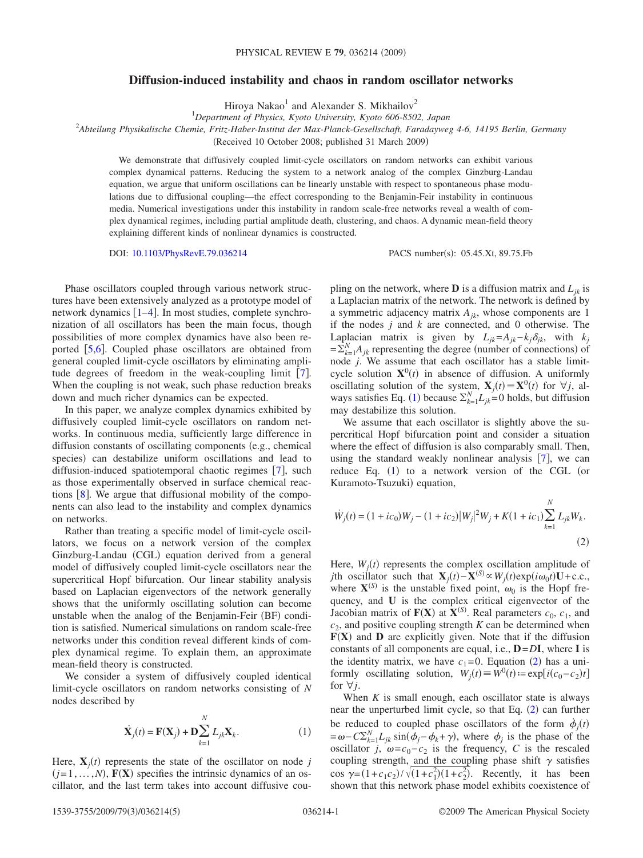## **Diffusion-induced instability and chaos in random oscillator networks**

Hiroya Nakao<sup>1</sup> and Alexander S. Mikhailov<sup>2</sup>

1 *Department of Physics, Kyoto University, Kyoto 606-8502, Japan*

2 *Abteilung Physikalische Chemie, Fritz-Haber-Institut der Max-Planck-Gesellschaft, Faradayweg 4-6, 14195 Berlin, Germany*

Received 10 October 2008; published 31 March 2009-

We demonstrate that diffusively coupled limit-cycle oscillators on random networks can exhibit various complex dynamical patterns. Reducing the system to a network analog of the complex Ginzburg-Landau equation, we argue that uniform oscillations can be linearly unstable with respect to spontaneous phase modulations due to diffusional coupling—the effect corresponding to the Benjamin-Feir instability in continuous media. Numerical investigations under this instability in random scale-free networks reveal a wealth of complex dynamical regimes, including partial amplitude death, clustering, and chaos. A dynamic mean-field theory explaining different kinds of nonlinear dynamics is constructed.

DOI: [10.1103/PhysRevE.79.036214](http://dx.doi.org/10.1103/PhysRevE.79.036214)

PACS number(s): 05.45.Xt, 89.75.Fb

Phase oscillators coupled through various network structures have been extensively analyzed as a prototype model of network dynamics  $[1-4]$  $[1-4]$  $[1-4]$ . In most studies, complete synchronization of all oscillators has been the main focus, though possibilities of more complex dynamics have also been reported  $[5,6]$  $[5,6]$  $[5,6]$  $[5,6]$ . Coupled phase oscillators are obtained from general coupled limit-cycle oscillators by eliminating amplitude degrees of freedom in the weak-coupling limit  $[7]$  $[7]$  $[7]$ . When the coupling is not weak, such phase reduction breaks down and much richer dynamics can be expected.

In this paper, we analyze complex dynamics exhibited by diffusively coupled limit-cycle oscillators on random networks. In continuous media, sufficiently large difference in diffusion constants of oscillating components (e.g., chemical species) can destabilize uniform oscillations and lead to diffusion-induced spatiotemporal chaotic regimes [[7](#page-4-4)], such as those experimentally observed in surface chemical reactions  $\lceil 8 \rceil$  $\lceil 8 \rceil$  $\lceil 8 \rceil$ . We argue that diffusional mobility of the components can also lead to the instability and complex dynamics on networks.

Rather than treating a specific model of limit-cycle oscillators, we focus on a network version of the complex Ginzburg-Landau (CGL) equation derived from a general model of diffusively coupled limit-cycle oscillators near the supercritical Hopf bifurcation. Our linear stability analysis based on Laplacian eigenvectors of the network generally shows that the uniformly oscillating solution can become unstable when the analog of the Benjamin-Feir (BF) condition is satisfied. Numerical simulations on random scale-free networks under this condition reveal different kinds of complex dynamical regime. To explain them, an approximate mean-field theory is constructed.

We consider a system of diffusively coupled identical limit-cycle oscillators on random networks consisting of *N* nodes described by

$$
\dot{\mathbf{X}}_{j}(t) = \mathbf{F}(\mathbf{X}_{j}) + \mathbf{D} \sum_{k=1}^{N} L_{jk} \mathbf{X}_{k}.
$$
\n(1)

<span id="page-0-0"></span>Here,  $\mathbf{X}_j(t)$  represents the state of the oscillator on node *j*  $(j=1,...,N)$ ,  $F(X)$  specifies the intrinsic dynamics of an oscillator, and the last term takes into account diffusive coupling on the network, where **D** is a diffusion matrix and  $L_{ik}$  is a Laplacian matrix of the network. The network is defined by a symmetric adjacency matrix *Ajk*, whose components are 1 if the nodes *j* and *k* are connected, and 0 otherwise. The Laplacian matrix is given by  $L_{ik} = A_{ik} - k_i \delta_{ik}$ , with  $k_i$  $=\sum_{k=1}^{N} A_{jk}$  representing the degree (number of connections) of node *j*. We assume that each oscillator has a stable limitcycle solution  $X^0(t)$  in absence of diffusion. A uniformly oscillating solution of the system,  $\mathbf{X}_j(t) \equiv \mathbf{X}^0(t)$  for  $\forall j$ , al-ways satisfies Eq. ([1](#page-0-0)) because  $\sum_{k=1}^{N} L_{jk} = 0$  holds, but diffusion may destabilize this solution.

We assume that each oscillator is slightly above the supercritical Hopf bifurcation point and consider a situation where the effect of diffusion is also comparably small. Then, using the standard weakly nonlinear analysis  $[7]$  $[7]$  $[7]$ , we can reduce Eq.  $(1)$  $(1)$  $(1)$  to a network version of the CGL (or Kuramoto-Tsuzuki) equation,

<span id="page-0-1"></span>
$$
\dot{W}_j(t) = (1 + ic_0)W_j - (1 + ic_2)|W_j|^2 W_j + K(1 + ic_1) \sum_{k=1}^{N} L_{jk}W_k.
$$
\n(2)

Here,  $W_j(t)$  represents the complex oscillation amplitude of *j*th oscillator such that  $\mathbf{X}_j(t) - \mathbf{X}^{(S)} \propto W_j(t) \exp(i\omega_0 t) \mathbf{U} + \text{c.c.}$ where  $X^{(S)}$  is the unstable fixed point,  $\omega_0$  is the Hopf frequency, and **U** is the complex critical eigenvector of the Jacobian matrix of  $F(X)$  at  $X^{(S)}$ . Real parameters  $c_0$ ,  $c_1$ , and  $c<sub>2</sub>$ , and positive coupling strength *K* can be determined when  $F(X)$  and **D** are explicitly given. Note that if the diffusion constants of all components are equal, i.e., **D**=*D***I**, where **I** is the identity matrix, we have  $c_1 = 0$ . Equation ([2](#page-0-1)) has a uniformly oscillating solution,  $W_j(t) \equiv W^0(t) := \exp[i(c_0 - c_2)t]$ for ∀*j*.

When *K* is small enough, each oscillator state is always near the unperturbed limit cycle, so that Eq. ([2](#page-0-1)) can further be reduced to coupled phase oscillators of the form  $\dot{\phi}_j(t)$  $=\omega - C\Sigma_{k=1}^N L_{jk} \sin(\phi_j - \phi_k + \gamma)$ , where  $\phi_j$  is the phase of the oscillator *j*,  $\omega = c_0 - c_2$  is the frequency, *C* is the rescaled coupling strength, and the coupling phase shift  $\gamma$  satisfies  $\cos \gamma = (1 + c_1 c_2) / \sqrt{(1 + c_1^2)(1 + c_2^2)}$ . Recently, it has been shown that this network phase model exhibits coexistence of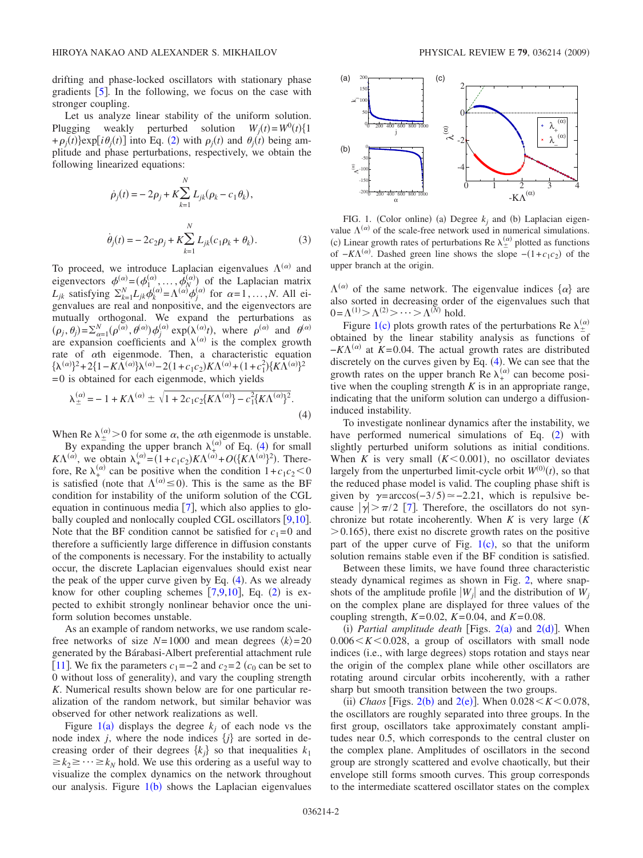drifting and phase-locked oscillators with stationary phase gradients  $\lceil 5 \rceil$  $\lceil 5 \rceil$  $\lceil 5 \rceil$ . In the following, we focus on the case with stronger coupling.

Let us analyze linear stability of the uniform solution. Plugging weakly perturbed solution  $W_j(t) = W^0(t)\{1\}$  $+\rho_j(t)$  exp[ $i\theta_j(t)$ ] into Eq. ([2](#page-0-1)) with  $\rho_j(t)$  and  $\theta_j(t)$  being amplitude and phase perturbations, respectively, we obtain the following linearized equations:

<span id="page-1-0"></span>
$$
\dot{\rho}_j(t) = -2\rho_j + K \sum_{k=1}^N L_{jk} (\rho_k - c_1 \theta_k),
$$
  

$$
\dot{\theta}_j(t) = -2c_2 \rho_j + K \sum_{k=1}^N L_{jk} (c_1 \rho_k + \theta_k).
$$
 (3)

To proceed, we introduce Laplacian eigenvalues  $\Lambda^{(\alpha)}$  and eigenvectors  $\phi_{N}^{(\alpha)} = (\phi_{1}^{(\alpha)}, \dots, \phi_{N}^{(\alpha)})$  of the Laplacian matrix  $L_{jk}$  satisfying  $\sum_{k=1}^{N} L_{jk} \phi_k^{(\alpha)} = \Lambda^{(\alpha)} \phi_j^{(\alpha)}$  for  $\alpha = 1, ..., N$ . All eigenvalues are real and nonpositive, and the eigenvectors are mutually orthogonal. We expand the perturbations as  $(\rho_j, \theta_j) = \sum_{\alpha=1}^N (\rho^{(\alpha)}, \theta^{(\alpha)}) \phi_j^{(\alpha)} \exp(\lambda^{(\alpha)} t)$ , where  $\rho^{(\alpha)}$  and  $\theta^{(\alpha)}$ are expansion coefficients and  $\lambda^{(\alpha)}$  is the complex growth rate of  $\alpha$ th eigenmode. Then, a characteristic equation  $\{\lambda^{(\alpha)}\}^2 + 2\{1 - K\Lambda^{(\alpha)}\}\lambda^{(\alpha)} - 2(1 + c_1c_2)K\Lambda^{(\alpha)} + (1 + c_1^2)\{K\Lambda^{(\alpha)}\}^2$  $=0$  is obtained for each eigenmode, which yields

$$
\lambda_{\pm}^{(\alpha)} = -1 + K\Lambda^{(\alpha)} \pm \sqrt{1 + 2c_1c_2\{K\Lambda^{(\alpha)}\} - c_1^2\{K\Lambda^{(\alpha)}\}^2}.
$$
\n(4)

When Re  $\lambda_{\pm}^{(\alpha)}$  > 0 for some  $\alpha$ , the  $\alpha$ th eigenmode is unstable.

By expanding the upper branch  $\lambda_{+}^{(\alpha)}$  of Eq. ([4](#page-1-0)) for small  $K\Lambda^{(\alpha)}$ , we obtain  $\lambda_{+}^{(\alpha)} = (1+c_1c_2)K\Lambda^{(\alpha)} + O({K\Lambda^{(\alpha)}})^2$ . Therefore, Re  $\lambda_+^{(\alpha)}$  can be positive when the condition  $1+c_1c_2<0$ is satisfied (note that  $\Lambda^{(\alpha)} \le 0$ ). This is the same as the BF condition for instability of the uniform solution of the CGL equation in continuous media  $[7]$  $[7]$  $[7]$ , which also applies to globally coupled and nonlocally coupled CGL oscillators  $[9,10]$  $[9,10]$  $[9,10]$  $[9,10]$ . Note that the BF condition cannot be satisfied for  $c_1=0$  and therefore a sufficiently large difference in diffusion constants of the components is necessary. For the instability to actually occur, the discrete Laplacian eigenvalues should exist near the peak of the upper curve given by Eq.  $(4)$  $(4)$  $(4)$ . As we already know for other coupling schemes  $[7,9,10]$  $[7,9,10]$  $[7,9,10]$  $[7,9,10]$  $[7,9,10]$ , Eq.  $(2)$  $(2)$  $(2)$  is expected to exhibit strongly nonlinear behavior once the uniform solution becomes unstable.

As an example of random networks, we use random scalefree networks of size  $N=1000$  and mean degrees  $\langle k \rangle = 20$ generated by the Bárabasi-Albert preferential attachment rule [[11](#page-4-8)]. We fix the parameters  $c_1 = -2$  and  $c_2 = 2$  ( $c_0$  can be set to 0 without loss of generality), and vary the coupling strength *K*. Numerical results shown below are for one particular realization of the random network, but similar behavior was observed for other network realizations as well.

Figure  $1(a)$  $1(a)$  displays the degree  $k_j$  of each node vs the node index  $j$ , where the node indices  $\{j\}$  are sorted in decreasing order of their degrees  $\{k_j\}$  so that inequalities  $k_1$  $\geq k_2 \geq \cdots \geq k_N$  hold. We use this ordering as a useful way to visualize the complex dynamics on the network throughout our analysis. Figure  $1(b)$  $1(b)$  shows the Laplacian eigenvalues

<span id="page-1-1"></span>

FIG. 1. (Color online) (a) Degree  $k_j$  and (b) Laplacian eigenvalue  $\Lambda^{(\alpha)}$  of the scale-free network used in numerical simulations. (c) Linear growth rates of perturbations Re  $\lambda_{\pm}^{(\alpha)}$  plotted as functions of  $-K\Lambda^{(\alpha)}$ . Dashed green line shows the slope  $-(1+c_1c_2)$  of the upper branch at the origin.

 $\Lambda^{(\alpha)}$  of the same network. The eigenvalue indices  $\{\alpha\}$  are also sorted in decreasing order of the eigenvalues such that  $0 = \Lambda^{(1)} > \Lambda^{(2)} > \cdots > \Lambda^{(N)}$  hold.

Figure [1](#page-1-1)(c) plots growth rates of the perturbations Re  $\lambda_{\pm}^{(\alpha)}$ obtained by the linear stability analysis as functions of  $-K\Lambda^{(\alpha)}$  at *K*=0.04. The actual growth rates are distributed discretely on the curves given by Eq.  $(4)$  $(4)$  $(4)$ . We can see that the growth rates on the upper branch Re  $\lambda_{+}^{(\alpha)}$  can become positive when the coupling strength  $K$  is in an appropriate range, indicating that the uniform solution can undergo a diffusioninduced instability.

To investigate nonlinear dynamics after the instability, we have performed numerical simulations of Eq. ([2](#page-0-1)) with slightly perturbed uniform solutions as initial conditions. When *K* is very small  $(K < 0.001)$ , no oscillator deviates largely from the unperturbed limit-cycle orbit  $W^{(0)}(t)$ , so that the reduced phase model is valid. The coupling phase shift is given by  $\gamma = \arccos(-3/5) \approx -2.21$ , which is repulsive because  $|\gamma| > \pi/2$  [[7](#page-4-4)]. Therefore, the oscillators do not synchronize but rotate incoherently. When *K* is very large *K*  $>$  0.165), there exist no discrete growth rates on the positive part of the upper curve of Fig.  $1(c)$  $1(c)$ , so that the uniform solution remains stable even if the BF condition is satisfied.

Between these limits, we have found three characteristic steady dynamical regimes as shown in Fig. [2,](#page-2-0) where snapshots of the amplitude profile  $|W_i|$  and the distribution of  $W_i$ on the complex plane are displayed for three values of the coupling strength,  $K=0.02$ ,  $K=0.04$ , and  $K=0.08$ .

(i) Partial amplitude death [Figs.  $2(a)$  $2(a)$  and  $2(d)$ ]. When  $0.006 \le K \le 0.028$ , a group of oscillators with small node indices (i.e., with large degrees) stops rotation and stays near the origin of the complex plane while other oscillators are rotating around circular orbits incoherently, with a rather sharp but smooth transition between the two groups.

(ii) *Chaos* [Figs. [2](#page-2-0)(b) and 2(e)]. When  $0.028 < K < 0.078$ , the oscillators are roughly separated into three groups. In the first group, oscillators take approximately constant amplitudes near 0.5, which corresponds to the central cluster on the complex plane. Amplitudes of oscillators in the second group are strongly scattered and evolve chaotically, but their envelope still forms smooth curves. This group corresponds to the intermediate scattered oscillator states on the complex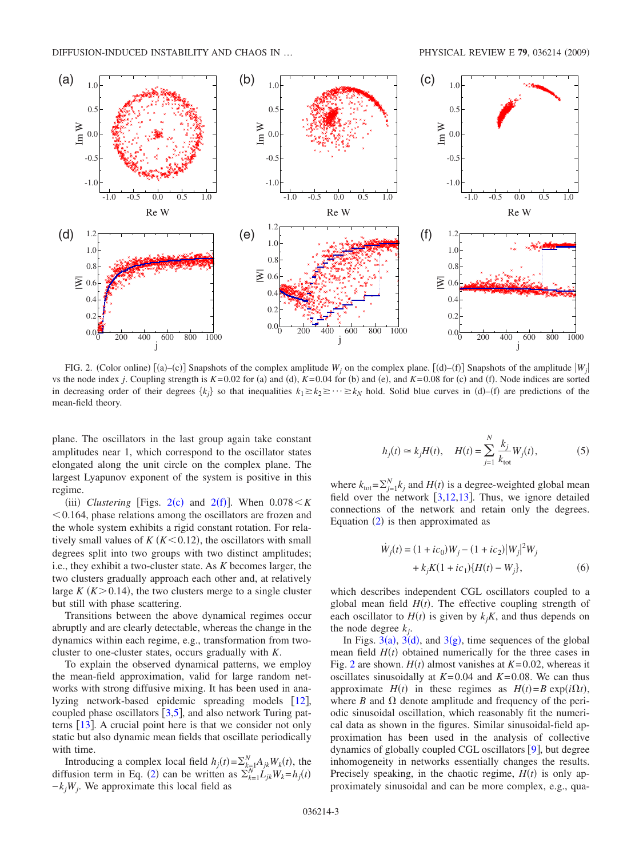<span id="page-2-0"></span>

FIG. 2. (Color online)  $[(a)-(c)]$  Snapshots of the complex amplitude  $W_j$  on the complex plane.  $[(d)-(f)]$  Snapshots of the amplitude  $|W_j|$ vs the node index *j*. Coupling strength is  $K=0.02$  for (a) and (d),  $K=0.04$  for (b) and (e), and  $K=0.08$  for (c) and (f). Node indices are sorted in decreasing order of their degrees  $\{k_j\}$  so that inequalities  $k_1 \geq k_2 \geq \cdots \geq k_N$  hold. Solid blue curves in (d)–(f) are predictions of the mean-field theory.

plane. The oscillators in the last group again take constant amplitudes near 1, which correspond to the oscillator states elongated along the unit circle on the complex plane. The largest Lyapunov exponent of the system is positive in this regime.

(iii) *Clustering* [Figs. [2](#page-2-0)(c) and 2(f)]. When  $0.078 < K$  $0.164$ , phase relations among the oscillators are frozen and the whole system exhibits a rigid constant rotation. For relatively small values of  $K(K < 0.12)$ , the oscillators with small degrees split into two groups with two distinct amplitudes; i.e., they exhibit a two-cluster state. As *K* becomes larger, the two clusters gradually approach each other and, at relatively large  $K(K > 0.14)$ , the two clusters merge to a single cluster but still with phase scattering.

Transitions between the above dynamical regimes occur abruptly and are clearly detectable, whereas the change in the dynamics within each regime, e.g., transformation from twocluster to one-cluster states, occurs gradually with *K*.

To explain the observed dynamical patterns, we employ the mean-field approximation, valid for large random networks with strong diffusive mixing. It has been used in ana-lyzing network-based epidemic spreading models [[12](#page-4-9)], coupled phase oscillators  $\lceil 3,5 \rceil$  $\lceil 3,5 \rceil$  $\lceil 3,5 \rceil$  $\lceil 3,5 \rceil$ , and also network Turing patterns  $\lceil 13 \rceil$  $\lceil 13 \rceil$  $\lceil 13 \rceil$ . A crucial point here is that we consider not only static but also dynamic mean fields that oscillate periodically with time.

Introducing a complex local field  $h_j(t) = \sum_{k=1}^{N} A_{jk} W_k(t)$ , the diffusion term in Eq. ([2](#page-0-1)) can be written as  $\sum_{k=1}^{N} L_{jk} W_k = h_j(t)$ −*kjWj*. We approximate this local field as

$$
h_j(t) \simeq k_j H(t), \quad H(t) = \sum_{j=1}^{N} \frac{k_j}{k_{\text{tot}}} W_j(t), \tag{5}
$$

<span id="page-2-2"></span>where  $k_{\text{tot}} = \sum_{j=1}^{N} k_j$  and  $H(t)$  is a degree-weighted global mean field over the network  $[3,12,13]$  $[3,12,13]$  $[3,12,13]$  $[3,12,13]$  $[3,12,13]$ . Thus, we ignore detailed connections of the network and retain only the degrees. Equation  $(2)$  $(2)$  $(2)$  is then approximated as

$$
\dot{W}_j(t) = (1 + ic_0)W_j - (1 + ic_2)|W_j|^2 W_j
$$
  
+  $k_j K (1 + ic_1) {H(t) - W_j},$  (6)

<span id="page-2-1"></span>which describes independent CGL oscillators coupled to a global mean field  $H(t)$ . The effective coupling strength of each oscillator to  $H(t)$  is given by  $k_j K$ , and thus depends on the node degree *kj*.

In Figs. [3](#page-3-0)(a), 3(d), and 3(g), time sequences of the global mean field  $H(t)$  obtained numerically for the three cases in Fig. [2](#page-2-0) are shown.  $H(t)$  almost vanishes at  $K=0.02$ , whereas it oscillates sinusoidally at *K*=0.04 and *K*=0.08. We can thus approximate  $H(t)$  in these regimes as  $H(t) = B \exp(i\Omega t)$ , where  $B$  and  $\Omega$  denote amplitude and frequency of the periodic sinusoidal oscillation, which reasonably fit the numerical data as shown in the figures. Similar sinusoidal-field approximation has been used in the analysis of collective dynamics of globally coupled CGL oscillators  $[9]$  $[9]$  $[9]$ , but degree inhomogeneity in networks essentially changes the results. Precisely speaking, in the chaotic regime,  $H(t)$  is only approximately sinusoidal and can be more complex, e.g., qua-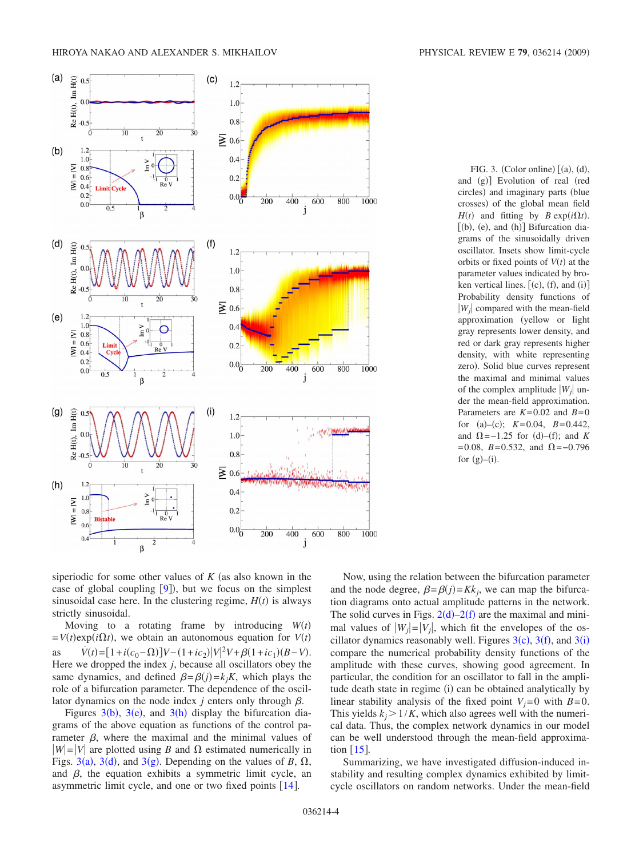<span id="page-3-0"></span>

FIG. 3. (Color online)  $[(a), (d),$ and (g)] Evolution of real (red circles) and imaginary parts (blue crosses) of the global mean field  $H(t)$  and fitting by *B* exp(*i* $\Omega$ *t*).  $[(b), (e), and (h)]$  Bifurcation diagrams of the sinusoidally driven oscillator. Insets show limit-cycle orbits or fixed points of  $V(t)$  at the parameter values indicated by broken vertical lines.  $[(c), (f),$  and  $(i)]$ Probability density functions of *Wj* compared with the mean-field approximation (yellow or light gray represents lower density, and red or dark gray represents higher density, with white representing zero). Solid blue curves represent the maximal and minimal values of the complex amplitude  $|W_i|$  under the mean-field approximation. Parameters are  $K=0.02$  and  $B=0$ for (a)–(c);  $K=0.04$ ,  $B=0.442$ , and  $\Omega = -1.25$  for (d)–(f); and *K*  $=0.08$ , *B*=0.532, and  $\Omega$ =-0.796 for  $(g)$ – $(i)$ .

siperiodic for some other values of  $K$  (as also known in the case of global coupling  $[9]$  $[9]$  $[9]$ ), but we focus on the simplest sinusoidal case here. In the clustering regime,  $H(t)$  is always strictly sinusoidal.

Moving to a rotating frame by introducing  $W(t)$  $= V(t) \exp(i\Omega t)$ , we obtain an autonomous equation for  $V(t)$ as *V*  $\dot{V}(t) = [1 + i(c_0 - \Omega)]V - (1 + ic_2)|V|^2V + \beta(1 + ic_1)(B - V).$ Here we dropped the index *j*, because all oscillators obey the same dynamics, and defined  $\beta = \beta(j) = k_j K$ , which plays the role of a bifurcation parameter. The dependence of the oscillator dynamics on the node index  $j$  enters only through  $\beta$ .

Figures  $3(b)$  $3(b)$ ,  $3(e)$ , and  $3(h)$  display the bifurcation diagrams of the above equation as functions of the control parameter  $\beta$ , where the maximal and the minimal values of  $|W|=|V|$  are plotted using *B* and  $\Omega$  estimated numerically in Figs. [3](#page-3-0)(a), 3(d), and 3(g). Depending on the values of *B*,  $\Omega$ , and  $\beta$ , the equation exhibits a symmetric limit cycle, an asymmetric limit cycle, and one or two fixed points  $[14]$  $[14]$  $[14]$ .

Now, using the relation between the bifurcation parameter and the node degree,  $\beta = \beta(j) = Kk_j$ , we can map the bifurcation diagrams onto actual amplitude patterns in the network. The solid curves in Figs.  $2(d) - 2(f)$  $2(d) - 2(f)$  are the maximal and minimal values of  $|W_i|=|V_i|$ , which fit the envelopes of the oscillator dynamics reasonably well. Figures  $3(c)$  $3(c)$ ,  $3(f)$ , and  $3(i)$ compare the numerical probability density functions of the amplitude with these curves, showing good agreement. In particular, the condition for an oscillator to fall in the amplitude death state in regime (i) can be obtained analytically by linear stability analysis of the fixed point  $V_i=0$  with  $B=0$ . This yields  $k_i > 1/K$ , which also agrees well with the numerical data. Thus, the complex network dynamics in our model can be well understood through the mean-field approximation  $[15]$  $[15]$  $[15]$ .

Summarizing, we have investigated diffusion-induced instability and resulting complex dynamics exhibited by limitcycle oscillators on random networks. Under the mean-field